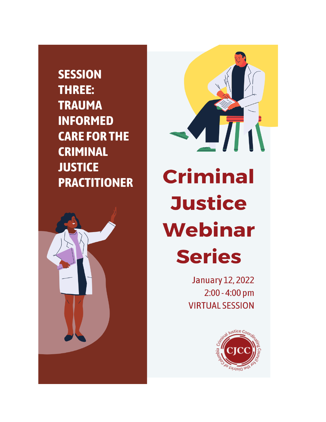**SESSION** THREE: **TRAUMA INFORMED CARE FOR THE CRIMINAL JUSTICE PRACTITIONER** 





**January 12, 2022** 2:00 - 4:00 pm **VIRTUAL SESSION** 

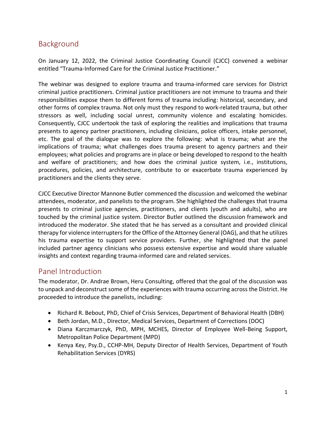# Background

On January 12, 2022, the Criminal Justice Coordinating Council (CJCC) convened a webinar entitled "Trauma-Informed Care for the Criminal Justice Practitioner."

The webinar was designed to explore trauma and trauma-informed care services for District criminal justice practitioners. Criminal justice practitioners are not immune to trauma and their responsibilities expose them to different forms of trauma including: historical, secondary, and other forms of complex trauma. Not only must they respond to work-related trauma, but other stressors as well, including social unrest, community violence and escalating homicides. Consequently, CJCC undertook the task of exploring the realities and implications that trauma presents to agency partner practitioners, including clinicians, police officers, intake personnel, etc. The goal of the dialogue was to explore the following: what is trauma; what are the implications of trauma; what challenges does trauma present to agency partners and their employees; what policies and programs are in place or being developed to respond to the health and welfare of practitioners; and how does the criminal justice system, i.e., institutions, procedures, policies, and architecture, contribute to or exacerbate trauma experienced by practitioners and the clients they serve.

CJCC Executive Director Mannone Butler commenced the discussion and welcomed the webinar attendees, moderator, and panelists to the program. She highlighted the challenges that trauma presents to criminal justice agencies, practitioners, and clients (youth and adults), who are touched by the criminal justice system. Director Butler outlined the discussion framework and introduced the moderator. She stated that he has served as a consultant and provided clinical therapy for violence interrupters for the Office of the Attorney General (OAG), and that he utilizes his trauma expertise to support service providers. Further, she highlighted that the panel included partner agency clinicians who possess extensive expertise and would share valuable insights and context regarding trauma-informed care and related services.

### Panel Introduction

The moderator, Dr. Andrae Brown, Heru Consulting, offered that the goal of the discussion was to unpack and deconstruct some of the experiences with trauma occurring across the District. He proceeded to introduce the panelists, including:

- Richard R. Bebout, PhD, Chief of Crisis Services, Department of Behavioral Health (DBH)
- Beth Jordan, M.D., Director, Medical Services, Department of Corrections (DOC)
- Diana Karczmarczyk, PhD, MPH, MCHES, Director of Employee Well-Being Support, Metropolitan Police Department (MPD)
- Kenya Key, Psy.D., CCHP-MH, Deputy Director of Health Services, Department of Youth Rehabilitation Services (DYRS)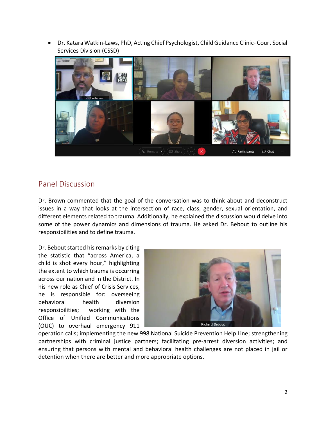• Dr. Katara Watkin-Laws, PhD, Acting Chief Psychologist, Child Guidance Clinic- Court Social Services Division (CSSD)



## Panel Discussion

Dr. Brown commented that the goal of the conversation was to think about and deconstruct issues in a way that looks at the intersection of race, class, gender, sexual orientation, and different elements related to trauma. Additionally, he explained the discussion would delve into some of the power dynamics and dimensions of trauma. He asked Dr. Bebout to outline his responsibilities and to define trauma.

Dr. Bebout started his remarks by citing the statistic that "across America, a child is shot every hour," highlighting the extent to which trauma is occurring across our nation and in the District. In his new role as Chief of Crisis Services, he is responsible for: overseeing behavioral health diversion responsibilities; working with the Office of Unified Communications (OUC) to overhaul emergency 911



operation calls; implementing the new 998 National Suicide Prevention Help Line; strengthening partnerships with criminal justice partners; facilitating pre-arrest diversion activities; and ensuring that persons with mental and behavioral health challenges are not placed in jail or detention when there are better and more appropriate options.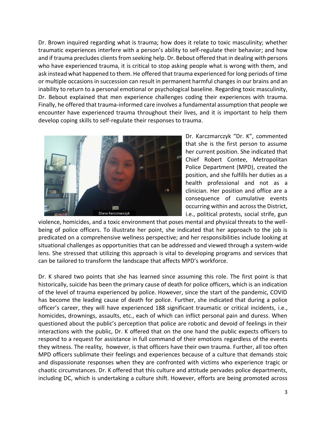Dr. Brown inquired regarding what is trauma; how does it relate to toxic masculinity; whether traumatic experiences interfere with a person's ability to self-regulate their behavior; and how and if trauma precludes clients from seeking help. Dr. Bebout offered that in dealing with persons who have experienced trauma, it is critical to stop asking people what is wrong with them, and ask instead what happened to them. He offered that trauma experienced for long periods of time or multiple occasions in succession can result in permanent harmful changes in our brains and an inability to return to a personal emotional or psychological baseline. Regarding toxic masculinity, Dr. Bebout explained that men experience challenges coding their experiences with trauma. Finally, he offered that trauma-informed care involves a fundamental assumption that people we encounter have experienced trauma throughout their lives, and it is important to help them develop coping skills to self-regulate their responses to trauma.



Dr. Karczmarczyk "Dr. K", commented that she is the first person to assume her current position. She indicated that Chief Robert Contee, Metropolitan Police Department (MPD), created the position, and she fulfills her duties as a health professional and not as a clinician. Her position and office are a consequence of cumulative events occurring within and across the District, i.e., political protests, social strife, gun

violence, homicides, and a toxic environment that poses mental and physical threats to the wellbeing of police officers. To illustrate her point, she indicated that her approach to the job is predicated on a comprehensive wellness perspective; and her responsibilities include looking at situational challenges as opportunities that can be addressed and viewed through a system-wide lens. She stressed that utilizing this approach is vital to developing programs and services that can be tailored to transform the landscape that affects MPD's workforce.

Dr. K shared two points that she has learned since assuming this role. The first point is that historically, suicide has been the primary cause of death for police officers, which is an indication of the level of trauma experienced by police. However, since the start of the pandemic, COVID has become the leading cause of death for police. Further, she indicated that during a police officer's career, they will have experienced 188 significant traumatic or critical incidents, i.e., homicides, drownings, assaults, etc., each of which can inflict personal pain and duress. When questioned about the public's perception that police are robotic and devoid of feelings in their interactions with the public, Dr. K offered that on the one hand the public expects officers to respond to a request for assistance in full command of their emotions regardless of the events they witness. The reality, however, is that officers have their own trauma. Further, all too often MPD officers sublimate their feelings and experiences because of a culture that demands stoic and dispassionate responses when they are confronted with victims who experience tragic or chaotic circumstances. Dr. K offered that this culture and attitude pervades police departments, including DC, which is undertaking a culture shift. However, efforts are being promoted across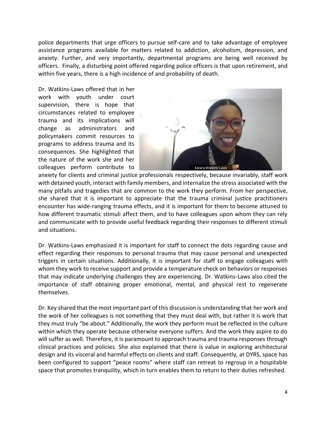police departments that urge officers to pursue self-care and to take advantage of employee assistance programs available for matters related to addiction, alcoholism, depression, and anxiety. Further, and very importantly, departmental programs are being well received by officers. Finally, a disturbing point offered regarding police officers is that upon retirement, and within five years, there is a high incidence of and probability of death.

Dr. Watkins-Laws offered that in her work with youth under court supervision, there is hope that circumstances related to employee trauma and its implications will change as administrators and policymakers commit resources to programs to address trauma and its consequences. She highlighted that the nature of the work she and her colleagues perform contribute to



anxiety for clients and criminal justice professionals respectively, because invariably, staff work with detained youth, interact with family members, and internalize the stress associated with the many pitfalls and tragedies that are common to the work they perform. From her perspective, she shared that it is important to appreciate that the trauma criminal justice practitioners encounter has wide-ranging trauma effects, and it is important for them to become attuned to how different traumatic stimuli affect them, and to have colleagues upon whom they can rely and communicate with to provide useful feedback regarding their responses to different stimuli and situations.

Dr. Watkins-Laws emphasized it is important for staff to connect the dots regarding cause and effect regarding their responses to personal trauma that may cause personal and unexpected triggers in certain situations. Additionally, it is important for staff to engage colleagues with whom they work to receive support and provide a temperature check on behaviors or responses that may indicate underlying challenges they are experiencing. Dr. Watkins-Laws also cited the importance of staff obtaining proper emotional, mental, and physical rest to regenerate themselves.

Dr. Key shared that the most important part of this discussion is understanding that her work and the work of her colleagues is not something that they must deal with, but rather it is work that they must truly "be about." Additionally, the work they perform must be reflected in the culture within which they operate because otherwise everyone suffers. And the work they aspire to do will suffer as well. Therefore, it is paramount to approach trauma and trauma responses through clinical practices and policies. She also explained that there is value in exploring architectural design and its visceral and harmful effects on clients and staff. Consequently, at DYRS, space has been configured to support "peace rooms" where staff can retreat to regroup in a hospitable space that promotes tranquility, which in turn enables them to return to their duties refreshed.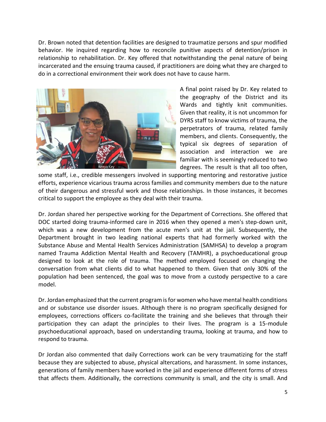Dr. Brown noted that detention facilities are designed to traumatize persons and spur modified behavior. He inquired regarding how to reconcile punitive aspects of detention/prison in relationship to rehabilitation. Dr. Key offered that notwithstanding the penal nature of being incarcerated and the ensuing trauma caused, if practitioners are doing what they are charged to do in a correctional environment their work does not have to cause harm.



A final point raised by Dr. Key related to the geography of the District and its Wards and tightly knit communities. Given that reality, it is not uncommon for DYRS staff to know victims of trauma, the perpetrators of trauma, related family members, and clients. Consequently, the typical six degrees of separation of association and interaction we are familiar with is seemingly reduced to two degrees. The result is that all too often,

some staff, i.e., credible messengers involved in supporting mentoring and restorative justice efforts, experience vicarious trauma across families and community members due to the nature of their dangerous and stressful work and those relationships. In those instances, it becomes critical to support the employee as they deal with their trauma.

Dr. Jordan shared her perspective working for the Department of Corrections. She offered that DOC started doing trauma-informed care in 2016 when they opened a men's step-down unit, which was a new development from the acute men's unit at the jail. Subsequently, the Department brought in two leading national experts that had formerly worked with the Substance Abuse and Mental Health Services Administration (SAMHSA) to develop a program named Trauma Addiction Mental Health and Recovery (TAMHR), a psychoeducational group designed to look at the role of trauma. The method employed focused on changing the conversation from what clients did to what happened to them. Given that only 30% of the population had been sentenced, the goal was to move from a custody perspective to a care model.

Dr. Jordan emphasized that the current program is for women who have mental health conditions and or substance use disorder issues. Although there is no program specifically designed for employees, corrections officers co-facilitate the training and she believes that through their participation they can adapt the principles to their lives. The program is a 15-module psychoeducational approach, based on understanding trauma, looking at trauma, and how to respond to trauma.

Dr Jordan also commented that daily Corrections work can be very traumatizing for the staff because they are subjected to abuse, physical altercations, and harassment. In some instances, generations of family members have worked in the jail and experience different forms of stress that affects them. Additionally, the corrections community is small, and the city is small. And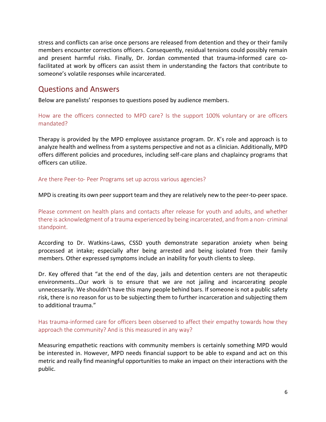stress and conflicts can arise once persons are released from detention and they or their family members encounter corrections officers. Consequently, residual tensions could possibly remain and present harmful risks. Finally, Dr. Jordan commented that trauma-informed care cofacilitated at work by officers can assist them in understanding the factors that contribute to someone's volatile responses while incarcerated.

#### Questions and Answers

Below are panelists' responses to questions posed by audience members.

How are the officers connected to MPD care? Is the support 100% voluntary or are officers mandated?

Therapy is provided by the MPD employee assistance program. Dr. K's role and approach is to analyze health and wellness from a systems perspective and not as a clinician. Additionally, MPD offers different policies and procedures, including self-care plans and chaplaincy programs that officers can utilize.

Are there Peer-to- Peer Programs set up across various agencies?

MPD is creating its own peer support team and they are relatively new to the peer-to-peer space.

Please comment on health plans and contacts after release for youth and adults, and whether there is acknowledgment of a trauma experienced by being incarcerated, and from a non- criminal standpoint.

According to Dr. Watkins-Laws, CSSD youth demonstrate separation anxiety when being processed at intake; especially after being arrested and being isolated from their family members. Other expressed symptoms include an inability for youth clients to sleep.

Dr. Key offered that "at the end of the day, jails and detention centers are not therapeutic environments…Our work is to ensure that we are not jailing and incarcerating people unnecessarily. We shouldn't have this many people behind bars. If someone is not a public safety risk, there is no reason for us to be subjecting them to further incarceration and subjecting them to additional trauma."

Has trauma-informed care for officers been observed to affect their empathy towards how they approach the community? And is this measured in any way?

Measuring empathetic reactions with community members is certainly something MPD would be interested in. However, MPD needs financial support to be able to expand and act on this metric and really find meaningful opportunities to make an impact on their interactions with the public.